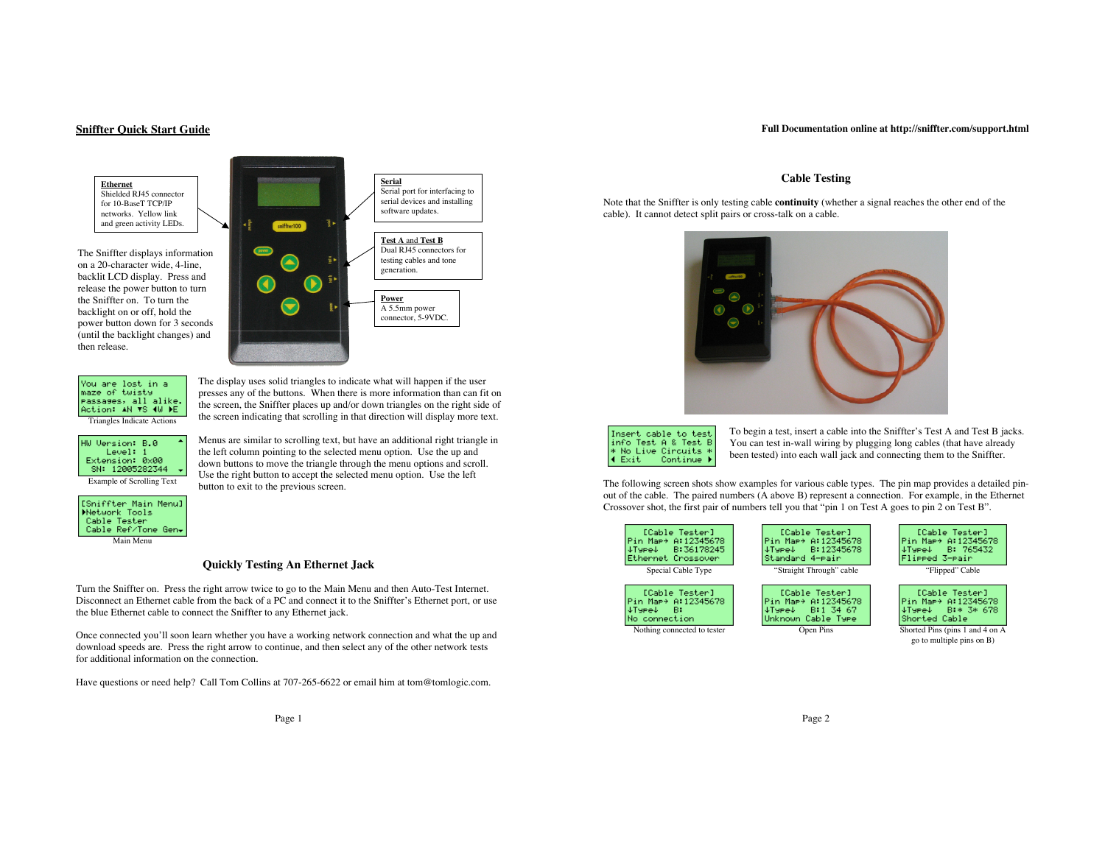# **Sniffter Quick Start Guide**

**Ethernet** Shielded RJ45 connector for 10-BaseT TCP/IP networks. Yellow link and green activity LEDs.

The Sniffter displays information on a 20-character wide, 4-line, backlit LCD display. Press and release the power button to turn the Sniffter on. To turn the backlight on or off, hold the power button down for 3 seconds (until the backlight changes) and then release.



The display uses solid triangles to indicate what will happen if the user

the left column pointing to the selected menu option. Use the up and down buttons to move the triangle through the menu options and scroll. Use the right button to accept the selected menu option. Use the left

You are lost in a<br>maze of twisty Passages, all alike. Action: AN VS 4W PE Triangles Indicate Actions

presses any of the buttons. When there is more information than can fit on the screen, the Sniffter places up and/or down triangles on the right side of the screen indicating that scrolling in that direction will display more text. Menus are similar to scrolling text, but have an additional right triangle in HW Version: B.0

button to exit to the previous screen.

Level: 1 Extension: 0x00 SN: 12005282344 Example of Scrolling Text



Main Menu

**Quickly Testing An Ethernet Jack**

Turn the Sniffter on. Press the right arrow twice to go to the Main Menu and then Auto-Test Internet. Disconnect an Ethernet cable from the back of a PC and connect it to the Sniffter's Ethernet port, or use the blue Ethernet cable to connect the Sniffter to any Ethernet jack.

Once connected you'll soon learn whether you have a working network connection and what the up and download speeds are. Press the right arrow to continue, and then select any of the other network tests for additional information on the connection.

Have questions or need help? Call Tom Collins at 707-265-6622 or email him at tom@tomlogic.com.

Page 1

## **Cable Testing**

Note that the Sniffter is only testing cable **continuity** (whether a signal reaches the other end of the cable). It cannot detect split pairs or cross-talk on a cable.





To begin a test, insert a cable into the Sniffter's Test A and Test B jacks. You can test in-wall wiring by plugging long cables (that have already been tested) into each wall jack and connecting them to the Sniffter.

The following screen shots show examples for various cable types. The pin map provides a detailed pinout of the cable. The paired numbers (A above B) represent a connection. For example, in the Ethernet Crossover shot, the first pair of numbers tell you that "pin 1 on Test A goes to pin 2 on Test B".